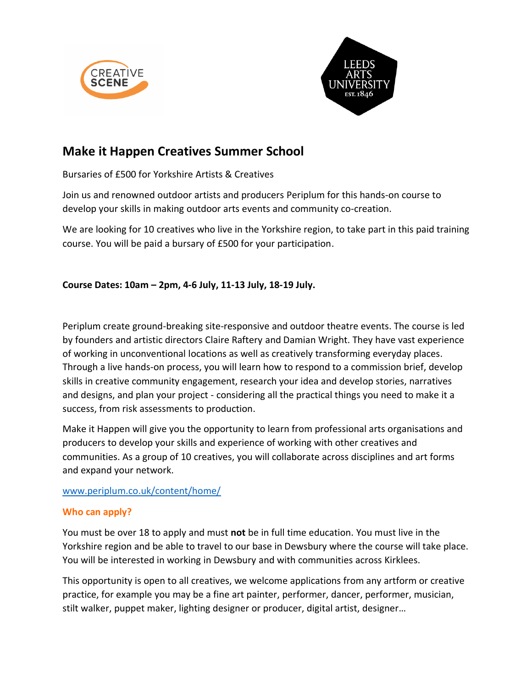



# **Make it Happen Creatives Summer School**

Bursaries of £500 for Yorkshire Artists & Creatives

Join us and renowned outdoor artists and producers Periplum for this hands-on course to develop your skills in making outdoor arts events and community co-creation.

We are looking for 10 creatives who live in the Yorkshire region, to take part in this paid training course. You will be paid a bursary of £500 for your participation.

**Course Dates: 10am – 2pm, 4-6 July, 11-13 July, 18-19 July.**

Periplum create ground-breaking site-responsive and outdoor theatre events. The course is led by founders and artistic directors Claire Raftery and Damian Wright. They have vast experience of working in unconventional locations as well as creatively transforming everyday places. Through a live hands-on process, you will learn how to respond to a commission brief, develop skills in creative community engagement, research your idea and develop stories, narratives and designs, and plan your project - considering all the practical things you need to make it a success, from risk assessments to production.

Make it Happen will give you the opportunity to learn from professional arts organisations and producers to develop your skills and experience of working with other creatives and communities. As a group of 10 creatives, you will collaborate across disciplines and art forms and expand your network.

[www.periplum.co.uk/content/home/](http://www.periplum.co.uk/content/home/)

# **Who can apply?**

You must be over 18 to apply and must **not** be in full time education. You must live in the Yorkshire region and be able to travel to our base in Dewsbury where the course will take place. You will be interested in working in Dewsbury and with communities across Kirklees.

This opportunity is open to all creatives, we welcome applications from any artform or creative practice, for example you may be a fine art painter, performer, dancer, performer, musician, stilt walker, puppet maker, lighting designer or producer, digital artist, designer…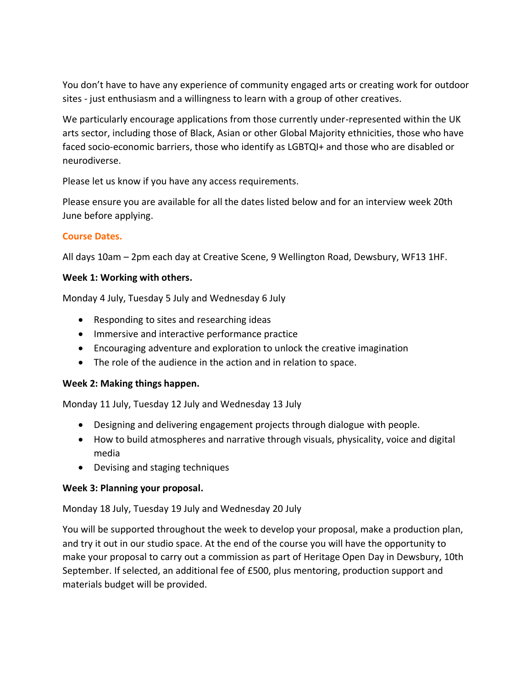You don't have to have any experience of community engaged arts or creating work for outdoor sites - just enthusiasm and a willingness to learn with a group of other creatives.

We particularly encourage applications from those currently under-represented within the UK arts sector, including those of Black, Asian or other Global Majority ethnicities, those who have faced socio-economic barriers, those who identify as LGBTQI+ and those who are disabled or neurodiverse.

Please let us know if you have any access requirements.

Please ensure you are available for all the dates listed below and for an interview week 20th June before applying.

# **Course Dates.**

All days 10am – 2pm each day at Creative Scene, 9 Wellington Road, Dewsbury, WF13 1HF.

# **Week 1: Working with others.**

Monday 4 July, Tuesday 5 July and Wednesday 6 July

- Responding to sites and researching ideas
- Immersive and interactive performance practice
- Encouraging adventure and exploration to unlock the creative imagination
- The role of the audience in the action and in relation to space.

# **Week 2: Making things happen.**

Monday 11 July, Tuesday 12 July and Wednesday 13 July

- Designing and delivering engagement projects through dialogue with people.
- How to build atmospheres and narrative through visuals, physicality, voice and digital media
- Devising and staging techniques

# **Week 3: Planning your proposal.**

Monday 18 July, Tuesday 19 July and Wednesday 20 July

You will be supported throughout the week to develop your proposal, make a production plan, and try it out in our studio space. At the end of the course you will have the opportunity to make your proposal to carry out a commission as part of Heritage Open Day in Dewsbury, 10th September. If selected, an additional fee of £500, plus mentoring, production support and materials budget will be provided.